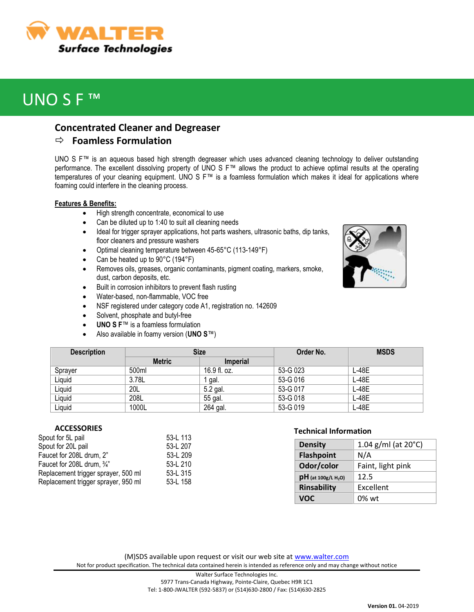

# UNO S F ™

### **Concentrated Cleaner and Degreaser**

### **Foamless Formulation**

UNO S F™ is an aqueous based high strength degreaser which uses advanced cleaning technology to deliver outstanding performance. The excellent dissolving property of UNO S F™ allows the product to achieve optimal results at the operating temperatures of your cleaning equipment. UNO S F™ is a foamless formulation which makes it ideal for applications where foaming could interfere in the cleaning process.

#### **Features & Benefits:**

- High strength concentrate, economical to use
- Can be diluted up to 1:40 to suit all cleaning needs
- Ideal for trigger sprayer applications, hot parts washers, ultrasonic baths, dip tanks, floor cleaners and pressure washers
- Optimal cleaning temperature between 45-65°C (113-149°F)
- Can be heated up to 90°C (194°F)
- Removes oils, greases, organic contaminants, pigment coating, markers, smoke, dust, carbon deposits, etc.
- Built in corrosion inhibitors to prevent flash rusting
- Water-based, non-flammable, VOC free
- NSF registered under category code A1, registration no. 142609
- Solvent, phosphate and butyl-free
- **UNO S F**™ is a foamless formulation
- Also available in foamy version (**UNO S**™)

| <b>Description</b> | <b>Size</b>   |                 | Order No. | <b>MSDS</b> |
|--------------------|---------------|-----------------|-----------|-------------|
|                    | <b>Metric</b> | <b>Imperial</b> |           |             |
| Sprayer            | 500ml         | 16.9 fl. oz.    | 53-G 023  | $L-48E$     |
| Liquid             | 3.78L         | gal.            | 53-G 016  | L-48E       |
| Liquid             | 20L           | 5.2 gal.        | 53-G 017  | L-48E       |
| Liquid             | 208L          | 55 gal.         | 53-G 018  | L-48E       |
| Liquid             | 1000L         | 264 gal.        | 53-G 019  | L-48E       |

#### **ACCESSORIES**

| Spout for 5L pail                   | 53-L 113 |
|-------------------------------------|----------|
| Spout for 20L pail                  | 53-L 207 |
| Faucet for 208L drum, 2"            | 53-L 209 |
| Faucet for 208L drum, 3/4"          | 53-L 210 |
| Replacement trigger sprayer, 500 ml | 53-L 315 |
| Replacement trigger sprayer, 950 ml | 53-L 158 |

### **Technical Information**

| <b>Density</b>                    | 1.04 g/ml (at $20^{\circ}$ C) |  |
|-----------------------------------|-------------------------------|--|
| <b>Flashpoint</b>                 | N/A                           |  |
| Odor/color                        | Faint, light pink             |  |
| $pH$ (at 100g/L H <sub>2</sub> O) | 12.5                          |  |
| Rinsability                       | Excellent                     |  |
| VOC                               | $0\%$ wt                      |  |

(M)SDS available upon request or visit our web site at [www.walter.com](http://www.walter.com/) Not for product specification. The technical data contained herein is intended as reference only and may change without notice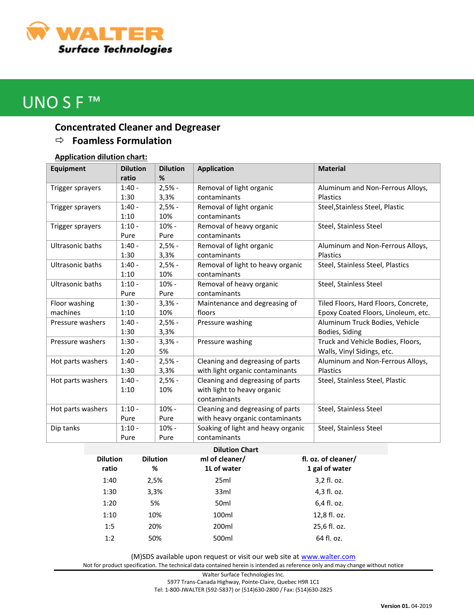

# UNO S F<sup>™</sup>

## **Concentrated Cleaner and Degreaser**

### **Foamless Formulation**

### **Application dilution chart:**

| <b>Equipment</b>        | <b>Dilution</b> | <b>Dilution</b> | <b>Application</b>                 | <b>Material</b>                      |
|-------------------------|-----------------|-----------------|------------------------------------|--------------------------------------|
|                         | ratio           | %               |                                    |                                      |
| Trigger sprayers        | $1:40 -$        | $2,5% -$        | Removal of light organic           | Aluminum and Non-Ferrous Alloys,     |
|                         | 1:30            | 3,3%            | contaminants                       | <b>Plastics</b>                      |
| Trigger sprayers        | $1:40 -$        | $2,5% -$        | Removal of light organic           | Steel, Stainless Steel, Plastic      |
|                         | 1:10            | 10%             | contaminants                       |                                      |
| Trigger sprayers        | $1:10 -$        | $10% -$         | Removal of heavy organic           | Steel, Stainless Steel               |
|                         | Pure            | Pure            | contaminants                       |                                      |
| <b>Ultrasonic baths</b> | $1:40 -$        | $2,5% -$        | Removal of light organic           | Aluminum and Non-Ferrous Alloys,     |
|                         | 1:30            | 3,3%            | contaminants                       | <b>Plastics</b>                      |
| <b>Ultrasonic baths</b> | $1:40 -$        | $2,5% -$        | Removal of light to heavy organic  | Steel, Stainless Steel, Plastics     |
|                         | 1:10            | 10%             | contaminants                       |                                      |
| <b>Ultrasonic baths</b> | $1:10 -$        | 10% -           | Removal of heavy organic           | Steel, Stainless Steel               |
|                         | Pure            | Pure            | contaminants                       |                                      |
| Floor washing           | $1:30 -$        | $3,3% -$        | Maintenance and degreasing of      | Tiled Floors, Hard Floors, Concrete, |
| machines                | 1:10            | 10%             | floors                             | Epoxy Coated Floors, Linoleum, etc.  |
| Pressure washers        | $1:40 -$        | $2,5% -$        | Pressure washing                   | Aluminum Truck Bodies, Vehicle       |
|                         | 1:30            | 3,3%            |                                    | Bodies, Siding                       |
| Pressure washers        | $1:30 -$        | $3,3% -$        | Pressure washing                   | Truck and Vehicle Bodies, Floors,    |
|                         | 1:20            | 5%              |                                    | Walls, Vinyl Sidings, etc.           |
| Hot parts washers       | $1:40 -$        | $2,5% -$        | Cleaning and degreasing of parts   | Aluminum and Non-Ferrous Alloys,     |
|                         | 1:30            | 3,3%            | with light organic contaminants    | <b>Plastics</b>                      |
| Hot parts washers       | $1:40 -$        | $2,5% -$        | Cleaning and degreasing of parts   | Steel, Stainless Steel, Plastic      |
|                         | 1:10            | 10%             | with light to heavy organic        |                                      |
|                         |                 |                 | contaminants                       |                                      |
| Hot parts washers       | $1:10 -$        | 10% -           | Cleaning and degreasing of parts   | Steel, Stainless Steel               |
|                         | Pure            | Pure            | with heavy organic contaminants    |                                      |
| Dip tanks               | $1:10 -$        | 10% -           | Soaking of light and heavy organic | Steel, Stainless Steel               |
|                         | Pure            | Pure            | contaminants                       |                                      |

| <b>Dilution</b><br>ratio | <b>Dilution</b><br>% | ml of cleaner/<br>1L of water | fl. oz. of cleaner/<br>1 gal of water |
|--------------------------|----------------------|-------------------------------|---------------------------------------|
| 1:40                     | 2,5%                 | 25ml                          | 3,2 fl. oz.                           |
| 1:30                     | 3,3%                 | 33ml                          | 4,3 fl. oz.                           |
| 1:20                     | 5%                   | 50 <sub>ml</sub>              | 6,4 fl. oz.                           |
| 1:10                     | 10%                  | 100ml                         | 12,8 fl. oz.                          |
| 1:5                      | 20%                  | 200ml                         | 25,6 fl. oz.                          |
| 1:2                      | 50%                  | 500ml                         | 64 fl. oz.                            |

(M)SDS available upon request or visit our web site at [www.walter.com](http://www.walter.com/)

Not for product specification. The technical data contained herein is intended as reference only and may change without notice

Walter Surface Technologies Inc. 5977 Trans-Canada Highway, Pointe-Claire, Quebec H9R 1C1 Tel: 1-800-JWALTER (592-5837) or (514)630-2800 / Fax: (514)630-2825